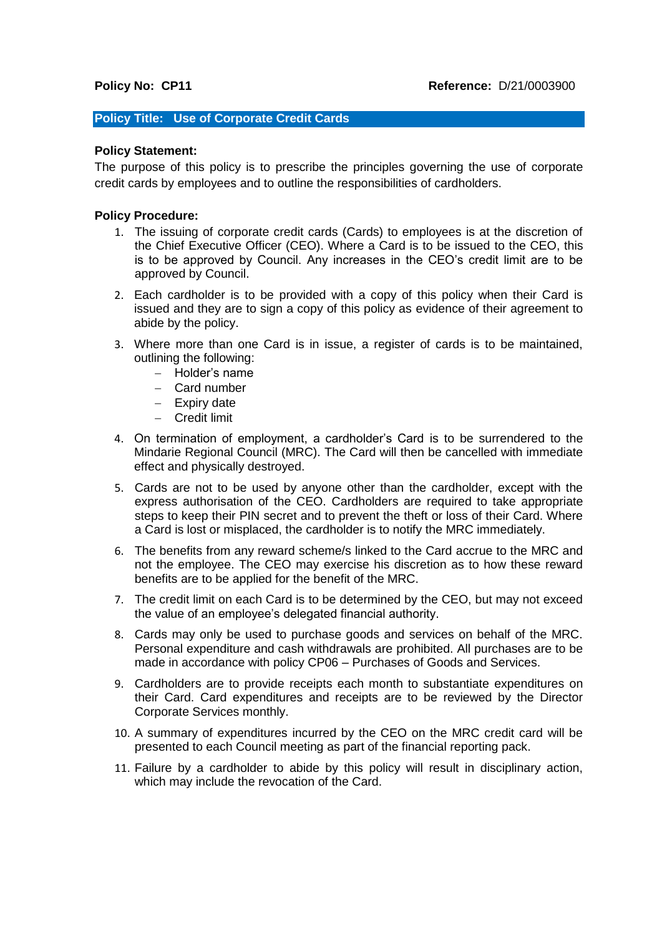## **Policy Title: Use of Corporate Credit Cards**

## **Policy Statement:**

The purpose of this policy is to prescribe the principles governing the use of corporate credit cards by employees and to outline the responsibilities of cardholders.

## **Policy Procedure:**

- 1. The issuing of corporate credit cards (Cards) to employees is at the discretion of the Chief Executive Officer (CEO). Where a Card is to be issued to the CEO, this is to be approved by Council. Any increases in the CEO's credit limit are to be approved by Council.
- 2. Each cardholder is to be provided with a copy of this policy when their Card is issued and they are to sign a copy of this policy as evidence of their agreement to abide by the policy.
- 3. Where more than one Card is in issue, a register of cards is to be maintained, outlining the following:
	- − Holder's name
	- − Card number
	- − Expiry date
	- − Credit limit
- 4. On termination of employment, a cardholder's Card is to be surrendered to the Mindarie Regional Council (MRC). The Card will then be cancelled with immediate effect and physically destroyed.
- 5. Cards are not to be used by anyone other than the cardholder, except with the express authorisation of the CEO. Cardholders are required to take appropriate steps to keep their PIN secret and to prevent the theft or loss of their Card. Where a Card is lost or misplaced, the cardholder is to notify the MRC immediately.
- 6. The benefits from any reward scheme/s linked to the Card accrue to the MRC and not the employee. The CEO may exercise his discretion as to how these reward benefits are to be applied for the benefit of the MRC.
- 7. The credit limit on each Card is to be determined by the CEO, but may not exceed the value of an employee's delegated financial authority.
- 8. Cards may only be used to purchase goods and services on behalf of the MRC. Personal expenditure and cash withdrawals are prohibited. All purchases are to be made in accordance with policy CP06 – Purchases of Goods and Services.
- 9. Cardholders are to provide receipts each month to substantiate expenditures on their Card. Card expenditures and receipts are to be reviewed by the Director Corporate Services monthly.
- 10. A summary of expenditures incurred by the CEO on the MRC credit card will be presented to each Council meeting as part of the financial reporting pack.
- 11. Failure by a cardholder to abide by this policy will result in disciplinary action, which may include the revocation of the Card.